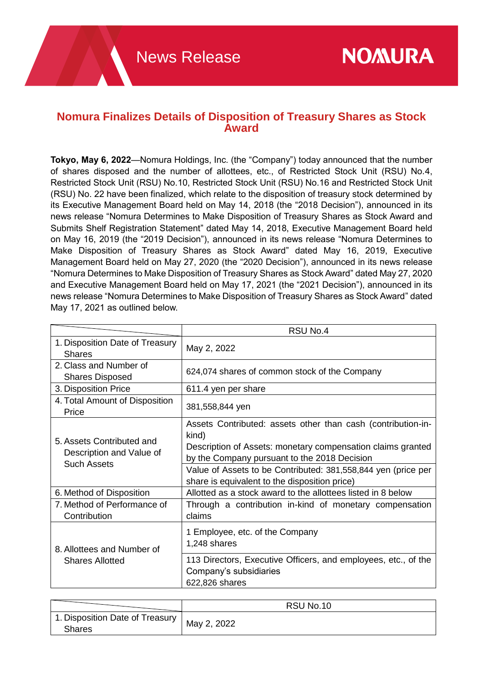## **Nomura Finalizes Details of Disposition of Treasury Shares as Stock Award**

**Tokyo, May 6, 2022**—Nomura Holdings, Inc. (the "Company") today announced that the number of shares disposed and the number of allottees, etc., of Restricted Stock Unit (RSU) No.4, Restricted Stock Unit (RSU) No.10, Restricted Stock Unit (RSU) No.16 and Restricted Stock Unit (RSU) No. 22 have been finalized, which relate to the disposition of treasury stock determined by its Executive Management Board held on May 14, 2018 (the "2018 Decision"), announced in its news release "Nomura Determines to Make Disposition of Treasury Shares as Stock Award and Submits Shelf Registration Statement" dated May 14, 2018, Executive Management Board held on May 16, 2019 (the "2019 Decision"), announced in its news release "Nomura Determines to Make Disposition of Treasury Shares as Stock Award" dated May 16, 2019, Executive Management Board held on May 27, 2020 (the "2020 Decision"), announced in its news release "Nomura Determines to Make Disposition of Treasury Shares as Stock Award" dated May 27, 2020 and Executive Management Board held on May 17, 2021 (the "2021 Decision"), announced in its news release "Nomura Determines to Make Disposition of Treasury Shares as Stock Award" dated May 17, 2021 as outlined below.

|                                                                             | RSU No.4                                                                                                                                                                             |
|-----------------------------------------------------------------------------|--------------------------------------------------------------------------------------------------------------------------------------------------------------------------------------|
| 1. Disposition Date of Treasury<br><b>Shares</b>                            | May 2, 2022                                                                                                                                                                          |
| 2. Class and Number of<br><b>Shares Disposed</b>                            | 624,074 shares of common stock of the Company                                                                                                                                        |
| 3. Disposition Price                                                        | 611.4 yen per share                                                                                                                                                                  |
| 4. Total Amount of Disposition<br>Price                                     | 381,558,844 yen                                                                                                                                                                      |
| 5. Assets Contributed and<br>Description and Value of<br><b>Such Assets</b> | Assets Contributed: assets other than cash (contribution-in-<br>kind)<br>Description of Assets: monetary compensation claims granted<br>by the Company pursuant to the 2018 Decision |
|                                                                             | Value of Assets to be Contributed: 381,558,844 yen (price per<br>share is equivalent to the disposition price)                                                                       |
| 6. Method of Disposition                                                    | Allotted as a stock award to the allottees listed in 8 below                                                                                                                         |
| 7. Method of Performance of<br>Contribution                                 | Through a contribution in-kind of monetary compensation<br>claims                                                                                                                    |
| 8. Allottees and Number of<br><b>Shares Allotted</b>                        | 1 Employee, etc. of the Company<br>1,248 shares                                                                                                                                      |
|                                                                             | 113 Directors, Executive Officers, and employees, etc., of the<br>Company's subsidiaries<br>622,826 shares                                                                           |

|                                                         | RSU No.10 |
|---------------------------------------------------------|-----------|
| 1. Disposition Date of Treasury   May 2, 2022<br>Shares |           |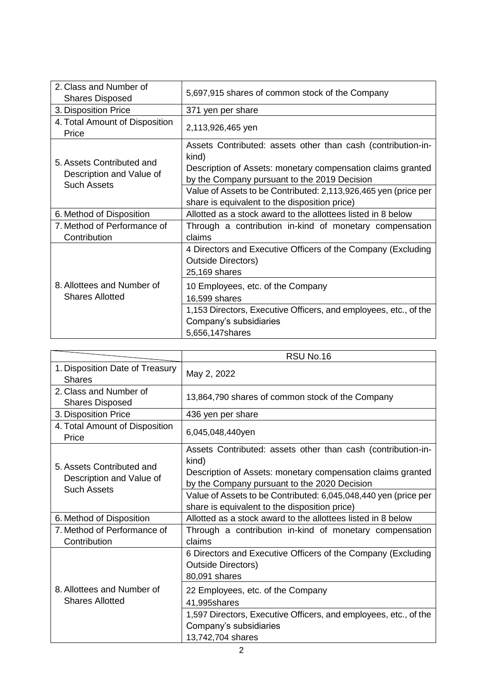| 2. Class and Number of<br><b>Shares Disposed</b>                            | 5,697,915 shares of common stock of the Company                                                                                                                                      |
|-----------------------------------------------------------------------------|--------------------------------------------------------------------------------------------------------------------------------------------------------------------------------------|
| 3. Disposition Price                                                        | 371 yen per share                                                                                                                                                                    |
| 4. Total Amount of Disposition<br>Price                                     | 2,113,926,465 yen                                                                                                                                                                    |
| 5. Assets Contributed and<br>Description and Value of<br><b>Such Assets</b> | Assets Contributed: assets other than cash (contribution-in-<br>kind)<br>Description of Assets: monetary compensation claims granted<br>by the Company pursuant to the 2019 Decision |
|                                                                             | Value of Assets to be Contributed: 2,113,926,465 yen (price per<br>share is equivalent to the disposition price)                                                                     |
| 6. Method of Disposition                                                    | Allotted as a stock award to the allottees listed in 8 below                                                                                                                         |
| 7. Method of Performance of<br>Contribution                                 | Through a contribution in-kind of monetary compensation<br>claims                                                                                                                    |
| 8. Allottees and Number of<br><b>Shares Allotted</b>                        | 4 Directors and Executive Officers of the Company (Excluding<br><b>Outside Directors)</b><br>25,169 shares                                                                           |
|                                                                             | 10 Employees, etc. of the Company<br>16,599 shares                                                                                                                                   |
|                                                                             | 1,153 Directors, Executive Officers, and employees, etc., of the<br>Company's subsidiaries<br>5,656,147shares                                                                        |

|                                                                             | RSU No.16                                                                                                                                                                                                                                                                                                |
|-----------------------------------------------------------------------------|----------------------------------------------------------------------------------------------------------------------------------------------------------------------------------------------------------------------------------------------------------------------------------------------------------|
| 1. Disposition Date of Treasury<br><b>Shares</b>                            | May 2, 2022                                                                                                                                                                                                                                                                                              |
| 2. Class and Number of<br><b>Shares Disposed</b>                            | 13,864,790 shares of common stock of the Company                                                                                                                                                                                                                                                         |
| 3. Disposition Price                                                        | 436 yen per share                                                                                                                                                                                                                                                                                        |
| 4. Total Amount of Disposition<br>Price                                     | 6,045,048,440yen                                                                                                                                                                                                                                                                                         |
| 5. Assets Contributed and<br>Description and Value of<br><b>Such Assets</b> | Assets Contributed: assets other than cash (contribution-in-<br>kind)<br>Description of Assets: monetary compensation claims granted<br>by the Company pursuant to the 2020 Decision<br>Value of Assets to be Contributed: 6,045,048,440 yen (price per<br>share is equivalent to the disposition price) |
| 6. Method of Disposition                                                    | Allotted as a stock award to the allottees listed in 8 below                                                                                                                                                                                                                                             |
| 7. Method of Performance of<br>Contribution                                 | Through a contribution in-kind of monetary compensation<br>claims                                                                                                                                                                                                                                        |
| 8. Allottees and Number of<br><b>Shares Allotted</b>                        | 6 Directors and Executive Officers of the Company (Excluding<br><b>Outside Directors)</b><br>80,091 shares                                                                                                                                                                                               |
|                                                                             | 22 Employees, etc. of the Company<br>41,995shares<br>1,597 Directors, Executive Officers, and employees, etc., of the                                                                                                                                                                                    |
|                                                                             | Company's subsidiaries<br>13,742,704 shares                                                                                                                                                                                                                                                              |